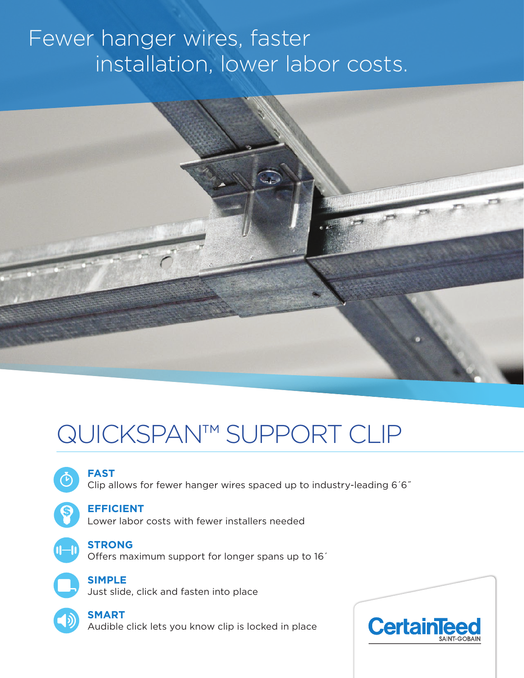### Fewer hanger wires, faster installation, lower labor costs.



# QUICKSPAN™ SUPPORT CLIP

Clip allows for fewer hanger wires spaced up to industry-leading 6´6˝

**FAST**

**EFFICIENT** Lower labor costs with fewer installers needed

**STRONG** Offers maximum support for longer spans up to 16´



**SIMPLE** Just slide, click and fasten into place



**SMART** Audible click lets you know clip is locked in place